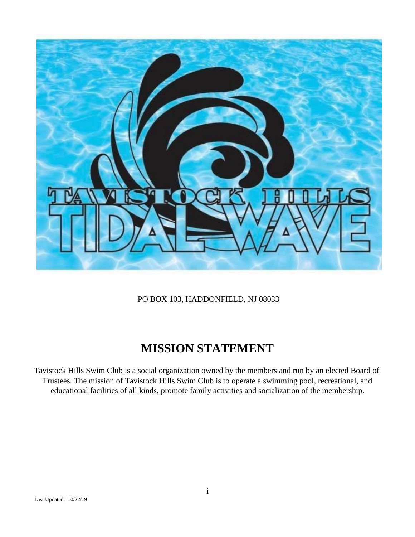

PO BOX 103, HADDONFIELD, NJ 08033

## **MISSION STATEMENT**

Tavistock Hills Swim Club is a social organization owned by the members and run by an elected Board of Trustees. The mission of Tavistock Hills Swim Club is to operate a swimming pool, recreational, and educational facilities of all kinds, promote family activities and socialization of the membership.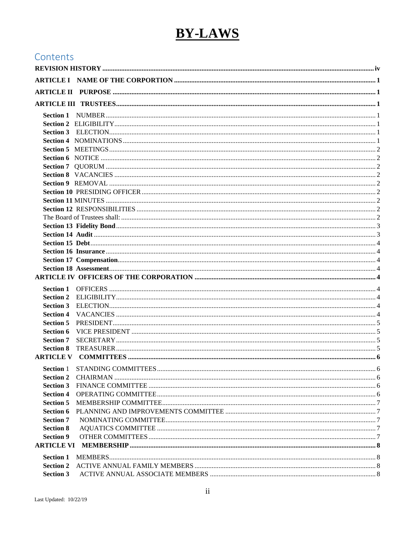# **BY-LAWS**

## Contents

| <b>Section 8</b>                     |  |  |
|--------------------------------------|--|--|
|                                      |  |  |
|                                      |  |  |
|                                      |  |  |
| <b>Section 2</b>                     |  |  |
| <b>Section 3</b>                     |  |  |
| <b>Section 4</b><br><b>Section 5</b> |  |  |
|                                      |  |  |
| <b>Section 6</b><br><b>Section 7</b> |  |  |
| <b>Section 8</b>                     |  |  |
| <b>Section 9</b>                     |  |  |
|                                      |  |  |
|                                      |  |  |
| <b>Section 1</b>                     |  |  |
| <b>Section 2</b>                     |  |  |
| <b>Section 3</b>                     |  |  |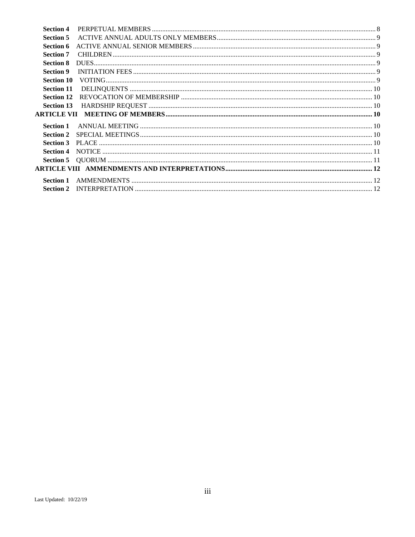| <b>Section 4</b> |  |
|------------------|--|
| <b>Section 5</b> |  |
| Section 6        |  |
| <b>Section 7</b> |  |
| <b>Section 8</b> |  |
| <b>Section 9</b> |  |
|                  |  |
|                  |  |
|                  |  |
|                  |  |
|                  |  |
|                  |  |
| <b>Section 1</b> |  |
| <b>Section 2</b> |  |
| <b>Section 3</b> |  |
| <b>Section 4</b> |  |
|                  |  |
|                  |  |
|                  |  |
|                  |  |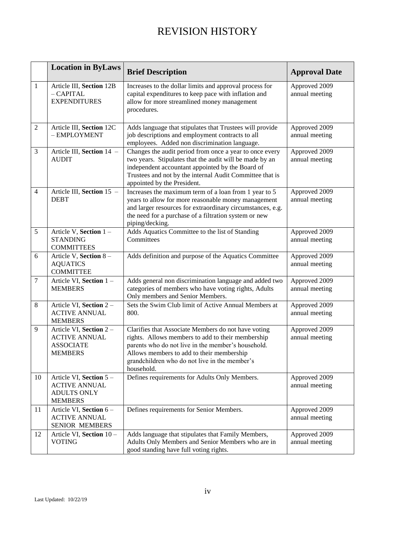## REVISION HISTORY

<span id="page-3-0"></span>

|                | <b>Location in ByLaws</b>                                                              | <b>Brief Description</b>                                                                                                                                                                                                                                                   | <b>Approval Date</b>            |
|----------------|----------------------------------------------------------------------------------------|----------------------------------------------------------------------------------------------------------------------------------------------------------------------------------------------------------------------------------------------------------------------------|---------------------------------|
| 1              | Article III, Section 12B<br>$-$ CAPITAL<br><b>EXPENDITURES</b>                         | Increases to the dollar limits and approval process for<br>capital expenditures to keep pace with inflation and<br>allow for more streamlined money management<br>procedures.                                                                                              | Approved 2009<br>annual meeting |
| 2              | Article III, Section 12C<br>- EMPLOYMENT                                               | Adds language that stipulates that Trustees will provide<br>job descriptions and employment contracts to all<br>employees. Added non discrimination language.                                                                                                              | Approved 2009<br>annual meeting |
| 3              | Article III, Section 14 -<br><b>AUDIT</b>                                              | Changes the audit period from once a year to once every<br>two years. Stipulates that the audit will be made by an<br>independent accountant appointed by the Board of<br>Trustees and not by the internal Audit Committee that is<br>appointed by the President.          | Approved 2009<br>annual meeting |
| $\overline{4}$ | Article III, Section 15 -<br><b>DEBT</b>                                               | Increases the maximum term of a loan from 1 year to 5<br>years to allow for more reasonable money management<br>and larger resources for extraordinary circumstances, e.g.<br>the need for a purchase of a filtration system or new<br>piping/decking.                     | Approved 2009<br>annual meeting |
| 5              | Article V, Section 1-<br><b>STANDING</b><br><b>COMMITTEES</b>                          | Adds Aquatics Committee to the list of Standing<br>Committees                                                                                                                                                                                                              | Approved 2009<br>annual meeting |
| 6              | Article V, Section 8-<br><b>AQUATICS</b><br><b>COMMITTEE</b>                           | Adds definition and purpose of the Aquatics Committee                                                                                                                                                                                                                      | Approved 2009<br>annual meeting |
| $\overline{7}$ | Article VI, Section 1-<br><b>MEMBERS</b>                                               | Adds general non discrimination language and added two<br>categories of members who have voting rights, Adults<br>Only members and Senior Members.                                                                                                                         | Approved 2009<br>annual meeting |
| 8              | Article VI, Section 2-<br><b>ACTIVE ANNUAL</b><br><b>MEMBERS</b>                       | Sets the Swim Club limit of Active Annual Members at<br>800.                                                                                                                                                                                                               | Approved 2009<br>annual meeting |
| 9              | Article VI, Section 2 -<br><b>ACTIVE ANNUAL</b><br><b>ASSOCIATE</b><br><b>MEMBERS</b>  | Clarifies that Associate Members do not have voting<br>rights. Allows members to add to their membership<br>parents who do not live in the member's household.<br>Allows members to add to their membership<br>grandchildren who do not live in the member's<br>household. | Approved 2009<br>annual meeting |
| 10             | Article VI, Section 5-<br><b>ACTIVE ANNUAL</b><br><b>ADULTS ONLY</b><br><b>MEMBERS</b> | Defines requirements for Adults Only Members.                                                                                                                                                                                                                              | Approved 2009<br>annual meeting |
| 11             | Article VI, Section 6-<br><b>ACTIVE ANNUAL</b><br>SENIOR MEMBERS                       | Defines requirements for Senior Members.                                                                                                                                                                                                                                   | Approved 2009<br>annual meeting |
| 12             | Article VI, Section 10 -<br><b>VOTING</b>                                              | Adds language that stipulates that Family Members,<br>Adults Only Members and Senior Members who are in<br>good standing have full voting rights.                                                                                                                          | Approved 2009<br>annual meeting |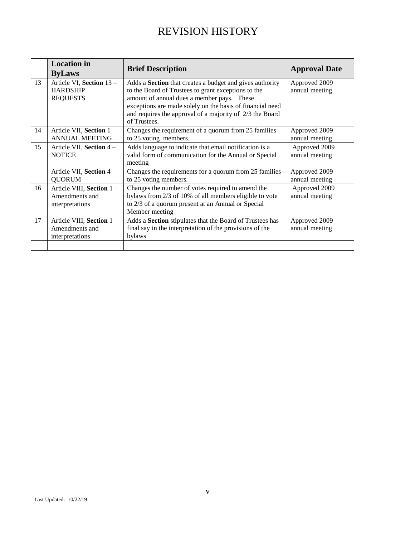## REVISION HISTORY

|    | <b>Location</b> in<br><b>ByLaws</b>                            | <b>Brief Description</b>                                                                                                                                                                                                                                                                                      | <b>Approval Date</b>            |
|----|----------------------------------------------------------------|---------------------------------------------------------------------------------------------------------------------------------------------------------------------------------------------------------------------------------------------------------------------------------------------------------------|---------------------------------|
| 13 | Article VI, Section 13 -<br><b>HARDSHIP</b><br><b>REQUESTS</b> | Adds a <b>Section</b> that creates a budget and gives authority<br>to the Board of Trustees to grant exceptions to the<br>amount of annual dues a member pays. These<br>exceptions are made solely on the basis of financial need<br>and requires the approval of a majority of 2/3 the Board<br>of Trustees. | Approved 2009<br>annual meeting |
| 14 | Article VII, Section 1-<br><b>ANNUAL MEETING</b>               | Changes the requirement of a quorum from 25 families<br>to 25 voting members.                                                                                                                                                                                                                                 | Approved 2009<br>annual meeting |
| 15 | Article VII, Section 4 -<br><b>NOTICE</b>                      | Adds language to indicate that email notification is a<br>valid form of communication for the Annual or Special<br>meeting                                                                                                                                                                                    | Approved 2009<br>annual meeting |
|    | Article VII, Section 4 -<br><b>QUORUM</b>                      | Changes the requirements for a quorum from 25 families<br>to 25 voting members.                                                                                                                                                                                                                               | Approved 2009<br>annual meeting |
| 16 | Article VIII, Section 1-<br>Amendments and<br>interpretations  | Changes the number of votes required to amend the<br>bylaws from 2/3 of 10% of all members eligible to vote<br>to 2/3 of a quorum present at an Annual or Special<br>Member meeting                                                                                                                           | Approved 2009<br>annual meeting |
| 17 | Article VIII, Section 1-<br>Amendments and<br>interpretations  | Adds a Section stipulates that the Board of Trustees has<br>final say in the interpretation of the provisions of the<br>bylaws                                                                                                                                                                                | Approved 2009<br>annual meeting |
|    |                                                                |                                                                                                                                                                                                                                                                                                               |                                 |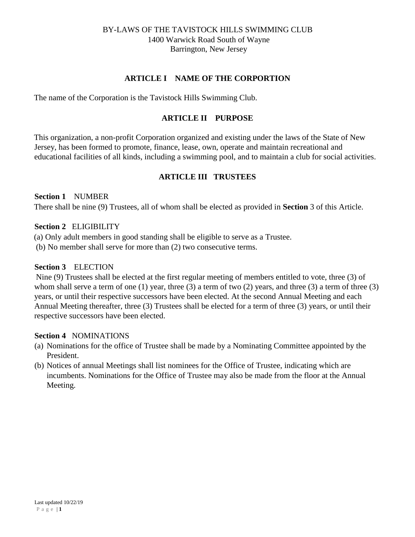## **ARTICLE I NAME OF THE CORPORTION**

<span id="page-5-1"></span><span id="page-5-0"></span>The name of the Corporation is the Tavistock Hills Swimming Club.

## **ARTICLE II PURPOSE**

This organization, a non-profit Corporation organized and existing under the laws of the State of New Jersey, has been formed to promote, finance, lease, own, operate and maintain recreational and educational facilities of all kinds, including a swimming pool, and to maintain a club for social activities.

## **ARTICLE III TRUSTEES**

#### <span id="page-5-3"></span><span id="page-5-2"></span>**Section 1** NUMBER

There shall be nine (9) Trustees, all of whom shall be elected as provided in **Section** 3 of this Article.

#### <span id="page-5-4"></span>**Section 2** ELIGIBILITY

(a) Only adult members in good standing shall be eligible to serve as a Trustee.

(b) No member shall serve for more than (2) two consecutive terms.

## <span id="page-5-5"></span>**Section 3** ELECTION

Nine (9) Trustees shall be elected at the first regular meeting of members entitled to vote, three (3) of whom shall serve a term of one (1) year, three (3) a term of two (2) years, and three (3) a term of three (3) years, or until their respective successors have been elected. At the second Annual Meeting and each Annual Meeting thereafter, three (3) Trustees shall be elected for a term of three (3) years, or until their respective successors have been elected.

## <span id="page-5-6"></span>**Section 4** NOMINATIONS

- (a) Nominations for the office of Trustee shall be made by a Nominating Committee appointed by the President.
- (b) Notices of annual Meetings shall list nominees for the Office of Trustee, indicating which are incumbents. Nominations for the Office of Trustee may also be made from the floor at the Annual Meeting.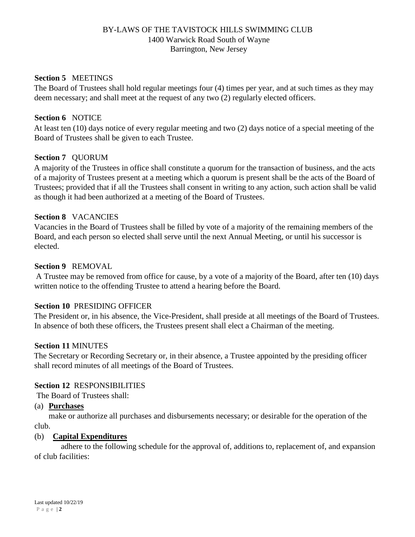#### <span id="page-6-0"></span>**Section 5** MEETINGS

The Board of Trustees shall hold regular meetings four (4) times per year, and at such times as they may deem necessary; and shall meet at the request of any two (2) regularly elected officers.

#### <span id="page-6-1"></span>**Section 6** NOTICE

At least ten (10) days notice of every regular meeting and two (2) days notice of a special meeting of the Board of Trustees shall be given to each Trustee.

#### <span id="page-6-2"></span>**Section 7** QUORUM

A majority of the Trustees in office shall constitute a quorum for the transaction of business, and the acts of a majority of Trustees present at a meeting which a quorum is present shall be the acts of the Board of Trustees; provided that if all the Trustees shall consent in writing to any action, such action shall be valid as though it had been authorized at a meeting of the Board of Trustees.

#### <span id="page-6-3"></span>**Section 8** VACANCIES

Vacancies in the Board of Trustees shall be filled by vote of a majority of the remaining members of the Board, and each person so elected shall serve until the next Annual Meeting, or until his successor is elected.

#### <span id="page-6-4"></span>**Section 9** REMOVAL

A Trustee may be removed from office for cause, by a vote of a majority of the Board, after ten (10) days written notice to the offending Trustee to attend a hearing before the Board.

#### <span id="page-6-5"></span>**Section 10** PRESIDING OFFICER

The President or, in his absence, the Vice-President, shall preside at all meetings of the Board of Trustees. In absence of both these officers, the Trustees present shall elect a Chairman of the meeting.

#### <span id="page-6-6"></span>**Section 11** MINUTES

The Secretary or Recording Secretary or, in their absence, a Trustee appointed by the presiding officer shall record minutes of all meetings of the Board of Trustees.

#### <span id="page-6-7"></span>**Section 12** RESPONSIBILITIES

<span id="page-6-8"></span>The Board of Trustees shall:

#### (a) **Purchases**

 make or authorize all purchases and disbursements necessary; or desirable for the operation of the club.

#### (b) **Capital Expenditures**

adhere to the following schedule for the approval of, additions to, replacement of, and expansion of club facilities: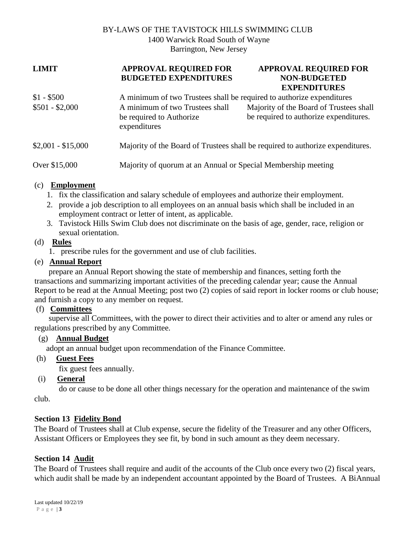#### **LIMIT APPROVAL REQUIRED FOR BUDGETED EXPENDITURES**

## **APPROVAL REQUIRED FOR NON-BUDGETED EXPENDITURES**

| $$1 - $500$<br>$$501 - $2,000$ | A minimum of two Trustees shall be required to authorize expenditures<br>A minimum of two Trustees shall<br>be required to Authorize<br>expenditures | Majority of the Board of Trustees shall<br>be required to authorize expenditures. |
|--------------------------------|------------------------------------------------------------------------------------------------------------------------------------------------------|-----------------------------------------------------------------------------------|
| $$2,001 - $15,000$             |                                                                                                                                                      | Majority of the Board of Trustees shall be required to authorize expenditures.    |
| Over \$15,000                  | Majority of quorum at an Annual or Special Membership meeting                                                                                        |                                                                                   |

## (c) **Employment**

- 1. fix the classification and salary schedule of employees and authorize their employment.
- 2. provide a job description to all employees on an annual basis which shall be included in an employment contract or letter of intent, as applicable.
- 3. Tavistock Hills Swim Club does not discriminate on the basis of age, gender, race, religion or sexual orientation.

## (d) **Rules**

1. prescribe rules for the government and use of club facilities.

## (e) **Annual Report**

prepare an Annual Report showing the state of membership and finances, setting forth the transactions and summarizing important activities of the preceding calendar year; cause the Annual Report to be read at the Annual Meeting; post two (2) copies of said report in locker rooms or club house; and furnish a copy to any member on request.

## (f) **Committees**

supervise all Committees, with the power to direct their activities and to alter or amend any rules or regulations prescribed by any Committee.

## (g) **Annual Budget**

adopt an annual budget upon recommendation of the Finance Committee.

(h) **Guest Fees**

fix guest fees annually.

(i) **General**

do or cause to be done all other things necessary for the operation and maintenance of the swim club.

## <span id="page-7-0"></span>**Section 13 Fidelity Bond**

The Board of Trustees shall at Club expense, secure the fidelity of the Treasurer and any other Officers, Assistant Officers or Employees they see fit, by bond in such amount as they deem necessary.

## <span id="page-7-1"></span>**Section 14 Audit**

The Board of Trustees shall require and audit of the accounts of the Club once every two (2) fiscal years, which audit shall be made by an independent accountant appointed by the Board of Trustees. A BiAnnual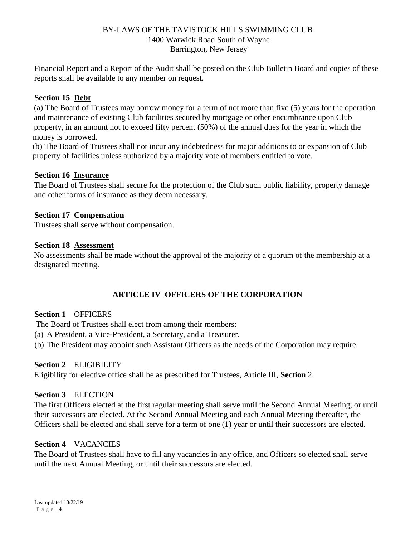Financial Report and a Report of the Audit shall be posted on the Club Bulletin Board and copies of these reports shall be available to any member on request.

## <span id="page-8-0"></span>**Section 15 Debt**

(a) The Board of Trustees may borrow money for a term of not more than five (5) years for the operation and maintenance of existing Club facilities secured by mortgage or other encumbrance upon Club property, in an amount not to exceed fifty percent (50%) of the annual dues for the year in which the money is borrowed.

(b) The Board of Trustees shall not incur any indebtedness for major additions to or expansion of Club property of facilities unless authorized by a majority vote of members entitled to vote.

## <span id="page-8-1"></span>**Section 16 Insurance**

The Board of Trustees shall secure for the protection of the Club such public liability, property damage and other forms of insurance as they deem necessary.

## <span id="page-8-2"></span>**Section 17 Compensation**

Trustees shall serve without compensation.

## <span id="page-8-3"></span>**Section 18 Assessment**

No assessments shall be made without the approval of the majority of a quorum of the membership at a designated meeting.

## **ARTICLE IV OFFICERS OF THE CORPORATION**

## <span id="page-8-5"></span><span id="page-8-4"></span>**Section 1** OFFICERS

The Board of Trustees shall elect from among their members:

- (a) A President, a Vice-President, a Secretary, and a Treasurer.
- (b) The President may appoint such Assistant Officers as the needs of the Corporation may require.

## <span id="page-8-6"></span>**Section 2** ELIGIBILITY

Eligibility for elective office shall be as prescribed for Trustees, Article III, **Section** 2.

## <span id="page-8-7"></span>**Section 3** ELECTION

The first Officers elected at the first regular meeting shall serve until the Second Annual Meeting, or until their successors are elected. At the Second Annual Meeting and each Annual Meeting thereafter, the Officers shall be elected and shall serve for a term of one (1) year or until their successors are elected.

## <span id="page-8-8"></span>**Section 4** VACANCIES

The Board of Trustees shall have to fill any vacancies in any office, and Officers so elected shall serve until the next Annual Meeting, or until their successors are elected.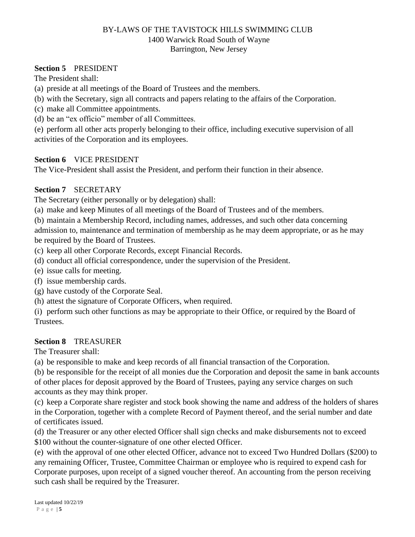#### <span id="page-9-0"></span>**Section 5** PRESIDENT

The President shall:

- (a) preside at all meetings of the Board of Trustees and the members.
- (b) with the Secretary, sign all contracts and papers relating to the affairs of the Corporation.
- (c) make all Committee appointments.
- (d) be an "ex officio" member of all Committees.

(e) perform all other acts properly belonging to their office, including executive supervision of all activities of the Corporation and its employees.

#### <span id="page-9-1"></span>**Section 6** VICE PRESIDENT

The Vice-President shall assist the President, and perform their function in their absence.

## <span id="page-9-2"></span>**Section 7** SECRETARY

The Secretary (either personally or by delegation) shall:

(a) make and keep Minutes of all meetings of the Board of Trustees and of the members.

(b) maintain a Membership Record, including names, addresses, and such other data concerning admission to, maintenance and termination of membership as he may deem appropriate, or as he may be required by the Board of Trustees.

(c) keep all other Corporate Records, except Financial Records.

- (d) conduct all official correspondence, under the supervision of the President.
- (e) issue calls for meeting.
- (f) issue membership cards.
- (g) have custody of the Corporate Seal.
- (h) attest the signature of Corporate Officers, when required.

(i) perform such other functions as may be appropriate to their Office, or required by the Board of Trustees.

#### <span id="page-9-3"></span>**Section 8** TREASURER

The Treasurer shall:

(a) be responsible to make and keep records of all financial transaction of the Corporation.

(b) be responsible for the receipt of all monies due the Corporation and deposit the same in bank accounts of other places for deposit approved by the Board of Trustees, paying any service charges on such accounts as they may think proper.

(c) keep a Corporate share register and stock book showing the name and address of the holders of shares in the Corporation, together with a complete Record of Payment thereof, and the serial number and date of certificates issued.

(d) the Treasurer or any other elected Officer shall sign checks and make disbursements not to exceed \$100 without the counter-signature of one other elected Officer.

(e) with the approval of one other elected Officer, advance not to exceed Two Hundred Dollars (\$200) to any remaining Officer, Trustee, Committee Chairman or employee who is required to expend cash for Corporate purposes, upon receipt of a signed voucher thereof. An accounting from the person receiving such cash shall be required by the Treasurer.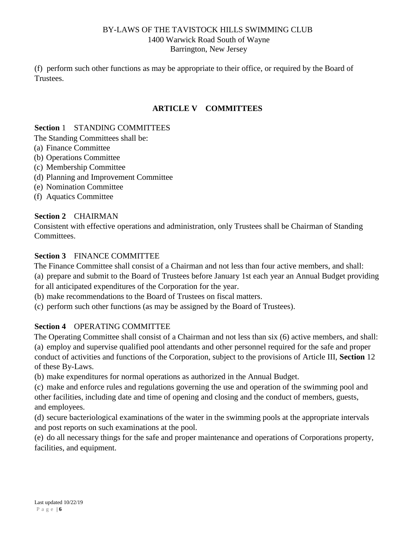(f) perform such other functions as may be appropriate to their office, or required by the Board of Trustees.

## **ARTICLE V COMMITTEES**

#### <span id="page-10-1"></span><span id="page-10-0"></span>**Section** 1 STANDING COMMITTEES

The Standing Committees shall be:

- (a) Finance Committee
- (b) Operations Committee
- (c) Membership Committee
- (d) Planning and Improvement Committee
- (e) Nomination Committee
- (f) Aquatics Committee

## <span id="page-10-2"></span>**Section 2** CHAIRMAN

Consistent with effective operations and administration, only Trustees shall be Chairman of Standing Committees.

## <span id="page-10-3"></span>**Section 3** FINANCE COMMITTEE

The Finance Committee shall consist of a Chairman and not less than four active members, and shall:

(a) prepare and submit to the Board of Trustees before January 1st each year an Annual Budget providing for all anticipated expenditures of the Corporation for the year.

(b) make recommendations to the Board of Trustees on fiscal matters.

(c) perform such other functions (as may be assigned by the Board of Trustees).

## <span id="page-10-4"></span>**Section 4** OPERATING COMMITTEE

The Operating Committee shall consist of a Chairman and not less than six (6) active members, and shall: (a) employ and supervise qualified pool attendants and other personnel required for the safe and proper conduct of activities and functions of the Corporation, subject to the provisions of Article III, **Section** 12 of these By-Laws.

(b) make expenditures for normal operations as authorized in the Annual Budget.

(c) make and enforce rules and regulations governing the use and operation of the swimming pool and other facilities, including date and time of opening and closing and the conduct of members, guests, and employees.

(d) secure bacteriological examinations of the water in the swimming pools at the appropriate intervals and post reports on such examinations at the pool.

(e) do all necessary things for the safe and proper maintenance and operations of Corporations property, facilities, and equipment.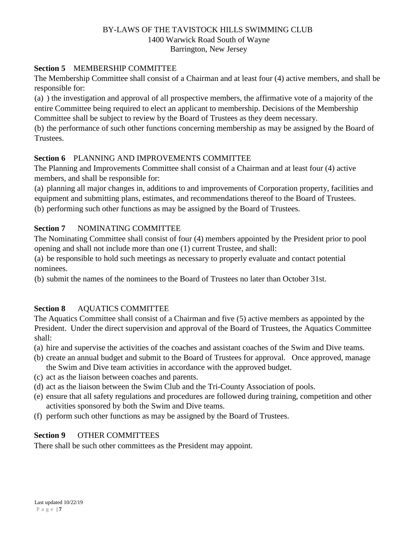## <span id="page-11-0"></span>**Section 5** MEMBERSHIP COMMITTEE

The Membership Committee shall consist of a Chairman and at least four (4) active members, and shall be responsible for:

(a) ) the investigation and approval of all prospective members, the affirmative vote of a majority of the entire Committee being required to elect an applicant to membership. Decisions of the Membership Committee shall be subject to review by the Board of Trustees as they deem necessary.

(b) the performance of such other functions concerning membership as may be assigned by the Board of **Trustees**.

## <span id="page-11-1"></span>**Section 6** PLANNING AND IMPROVEMENTS COMMITTEE

The Planning and Improvements Committee shall consist of a Chairman and at least four (4) active members, and shall be responsible for:

(a) planning all major changes in, additions to and improvements of Corporation property, facilities and equipment and submitting plans, estimates, and recommendations thereof to the Board of Trustees.

(b) performing such other functions as may be assigned by the Board of Trustees.

## <span id="page-11-2"></span>**Section 7** NOMINATING COMMITTEE

The Nominating Committee shall consist of four (4) members appointed by the President prior to pool opening and shall not include more than one (1) current Trustee, and shall:

(a) be responsible to hold such meetings as necessary to properly evaluate and contact potential nominees.

(b) submit the names of the nominees to the Board of Trustees no later than October 31st.

## <span id="page-11-3"></span>**Section 8** AQUATICS COMMITTEE

The Aquatics Committee shall consist of a Chairman and five (5) active members as appointed by the President. Under the direct supervision and approval of the Board of Trustees, the Aquatics Committee shall:

- (a) hire and supervise the activities of the coaches and assistant coaches of the Swim and Dive teams.
- (b) create an annual budget and submit to the Board of Trustees for approval. Once approved, manage the Swim and Dive team activities in accordance with the approved budget.
- (c) act as the liaison between coaches and parents.
- (d) act as the liaison between the Swim Club and the Tri-County Association of pools.
- (e) ensure that all safety regulations and procedures are followed during training, competition and other activities sponsored by both the Swim and Dive teams.
- (f) perform such other functions as may be assigned by the Board of Trustees.

## <span id="page-11-4"></span>**Section 9** OTHER COMMITTEES

There shall be such other committees as the President may appoint.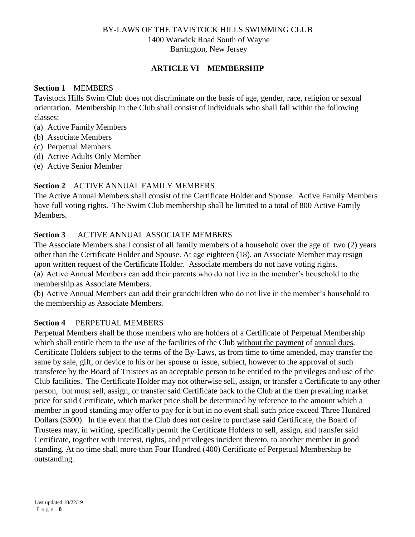## **ARTICLE VI MEMBERSHIP**

#### <span id="page-12-1"></span><span id="page-12-0"></span>**Section 1** MEMBERS

Tavistock Hills Swim Club does not discriminate on the basis of age, gender, race, religion or sexual orientation. Membership in the Club shall consist of individuals who shall fall within the following classes:

- (a) Active Family Members
- (b) Associate Members
- (c) Perpetual Members
- (d) Active Adults Only Member
- (e) Active Senior Member

#### <span id="page-12-2"></span>**Section 2** ACTIVE ANNUAL FAMILY MEMBERS

The Active Annual Members shall consist of the Certificate Holder and Spouse. Active Family Members have full voting rights. The Swim Club membership shall be limited to a total of 800 Active Family Members.

## <span id="page-12-3"></span>**Section 3** ACTIVE ANNUAL ASSOCIATE MEMBERS

The Associate Members shall consist of all family members of a household over the age of two (2) years other than the Certificate Holder and Spouse. At age eighteen (18), an Associate Member may resign upon written request of the Certificate Holder. Associate members do not have voting rights. (a) Active Annual Members can add their parents who do not live in the member's household to the membership as Associate Members.

(b) Active Annual Members can add their grandchildren who do not live in the member's household to the membership as Associate Members.

## <span id="page-12-4"></span>**Section 4** PERPETUAL MEMBERS

Perpetual Members shall be those members who are holders of a Certificate of Perpetual Membership which shall entitle them to the use of the facilities of the Club without the payment of annual dues. Certificate Holders subject to the terms of the By-Laws, as from time to time amended, may transfer the same by sale, gift, or device to his or her spouse or issue, subject, however to the approval of such transferee by the Board of Trustees as an acceptable person to be entitled to the privileges and use of the Club facilities. The Certificate Holder may not otherwise sell, assign, or transfer a Certificate to any other person, but must sell, assign, or transfer said Certificate back to the Club at the then prevailing market price for said Certificate, which market price shall be determined by reference to the amount which a member in good standing may offer to pay for it but in no event shall such price exceed Three Hundred Dollars (\$300). In the event that the Club does not desire to purchase said Certificate, the Board of Trustees may, in writing, specifically permit the Certificate Holders to sell, assign, and transfer said Certificate, together with interest, rights, and privileges incident thereto, to another member in good standing. At no time shall more than Four Hundred (400) Certificate of Perpetual Membership be outstanding.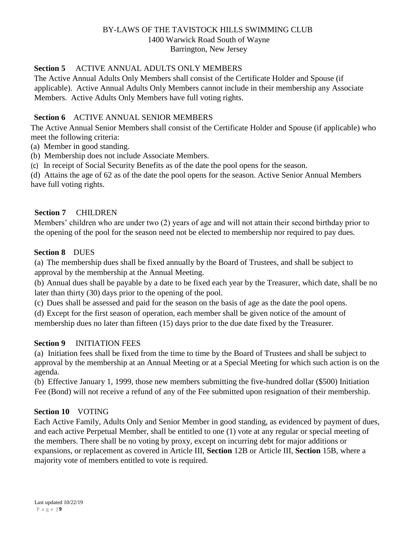#### <span id="page-13-0"></span>**Section 5** ACTIVE ANNUAL ADULTS ONLY MEMBERS

The Active Annual Adults Only Members shall consist of the Certificate Holder and Spouse (if applicable). Active Annual Adults Only Members cannot include in their membership any Associate Members. Active Adults Only Members have full voting rights.

#### <span id="page-13-1"></span>**Section 6** ACTIVE ANNUAL SENIOR MEMBERS

The Active Annual Senior Members shall consist of the Certificate Holder and Spouse (if applicable) who meet the following criteria:

(a) Member in good standing.

(b) Membership does not include Associate Members.

(c) In receipt of Social Security Benefits as of the date the pool opens for the season.

(d) Attains the age of 62 as of the date the pool opens for the season. Active Senior Annual Members have full voting rights.

#### <span id="page-13-2"></span>**Section 7** CHILDREN

Members' children who are under two (2) years of age and will not attain their second birthday prior to the opening of the pool for the season need not be elected to membership nor required to pay dues.

#### <span id="page-13-3"></span>**Section 8** DUES

(a) The membership dues shall be fixed annually by the Board of Trustees, and shall be subject to approval by the membership at the Annual Meeting.

(b) Annual dues shall be payable by a date to be fixed each year by the Treasurer, which date, shall be no later than thirty (30) days prior to the opening of the pool.

(c) Dues shall be assessed and paid for the season on the basis of age as the date the pool opens.

(d) Except for the first season of operation, each member shall be given notice of the amount of membership dues no later than fifteen (15) days prior to the due date fixed by the Treasurer.

#### <span id="page-13-4"></span>**Section 9** INITIATION FEES

(a) Initiation fees shall be fixed from the time to time by the Board of Trustees and shall be subject to approval by the membership at an Annual Meeting or at a Special Meeting for which such action is on the agenda.

(b) Effective January 1, 1999, those new members submitting the five-hundred dollar (\$500) Initiation Fee (Bond) will not receive a refund of any of the Fee submitted upon resignation of their membership.

## <span id="page-13-5"></span>**Section 10** VOTING

Each Active Family, Adults Only and Senior Member in good standing, as evidenced by payment of dues, and each active Perpetual Member, shall be entitled to one (1) vote at any regular or special meeting of the members. There shall be no voting by proxy, except on incurring debt for major additions or expansions, or replacement as covered in Article III, **Section** 12B or Article III, **Section** 15B, where a majority vote of members entitled to vote is required.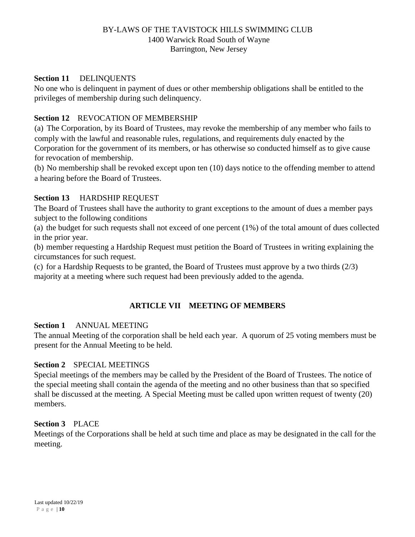#### <span id="page-14-0"></span>**Section 11** DELINQUENTS

No one who is delinquent in payment of dues or other membership obligations shall be entitled to the privileges of membership during such delinquency.

#### <span id="page-14-1"></span>**Section 12** REVOCATION OF MEMBERSHIP

(a) The Corporation, by its Board of Trustees, may revoke the membership of any member who fails to comply with the lawful and reasonable rules, regulations, and requirements duly enacted by the Corporation for the government of its members, or has otherwise so conducted himself as to give cause for revocation of membership.

(b) No membership shall be revoked except upon ten (10) days notice to the offending member to attend a hearing before the Board of Trustees.

#### <span id="page-14-2"></span>**Section 13** HARDSHIP REQUEST

The Board of Trustees shall have the authority to grant exceptions to the amount of dues a member pays subject to the following conditions

(a) the budget for such requests shall not exceed of one percent (1%) of the total amount of dues collected in the prior year.

(b) member requesting a Hardship Request must petition the Board of Trustees in writing explaining the circumstances for such request.

(c) for a Hardship Requests to be granted, the Board of Trustees must approve by a two thirds (2/3) majority at a meeting where such request had been previously added to the agenda.

## **ARTICLE VII MEETING OF MEMBERS**

#### <span id="page-14-4"></span><span id="page-14-3"></span>**Section 1** ANNUAL MEETING

The annual Meeting of the corporation shall be held each year. A quorum of 25 voting members must be present for the Annual Meeting to be held.

#### <span id="page-14-5"></span>**Section 2** SPECIAL MEETINGS

Special meetings of the members may be called by the President of the Board of Trustees. The notice of the special meeting shall contain the agenda of the meeting and no other business than that so specified shall be discussed at the meeting. A Special Meeting must be called upon written request of twenty (20) members.

#### <span id="page-14-6"></span>**Section 3** PLACE

Meetings of the Corporations shall be held at such time and place as may be designated in the call for the meeting.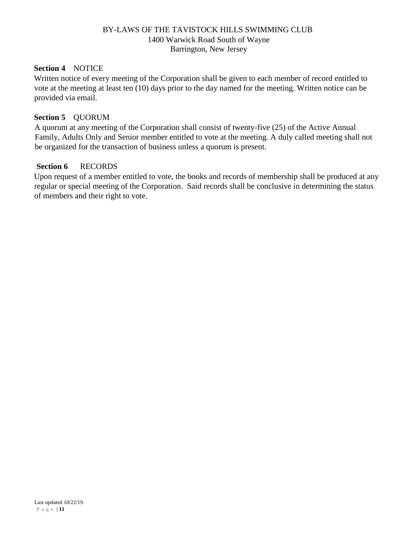#### <span id="page-15-0"></span>**Section 4** NOTICE

Written notice of every meeting of the Corporation shall be given to each member of record entitled to vote at the meeting at least ten (10) days prior to the day named for the meeting. Written notice can be provided via email.

#### <span id="page-15-1"></span>**Section 5** QUORUM

A quorum at any meeting of the Corporation shall consist of twenty-five (25) of the Active Annual Family, Adults Only and Senior member entitled to vote at the meeting. A duly called meeting shall not be organized for the transaction of business unless a quorum is present.

## **Section 6** RECORDS

Upon request of a member entitled to vote, the books and records of membership shall be produced at any regular or special meeting of the Corporation. Said records shall be conclusive in determining the status of members and their right to vote.